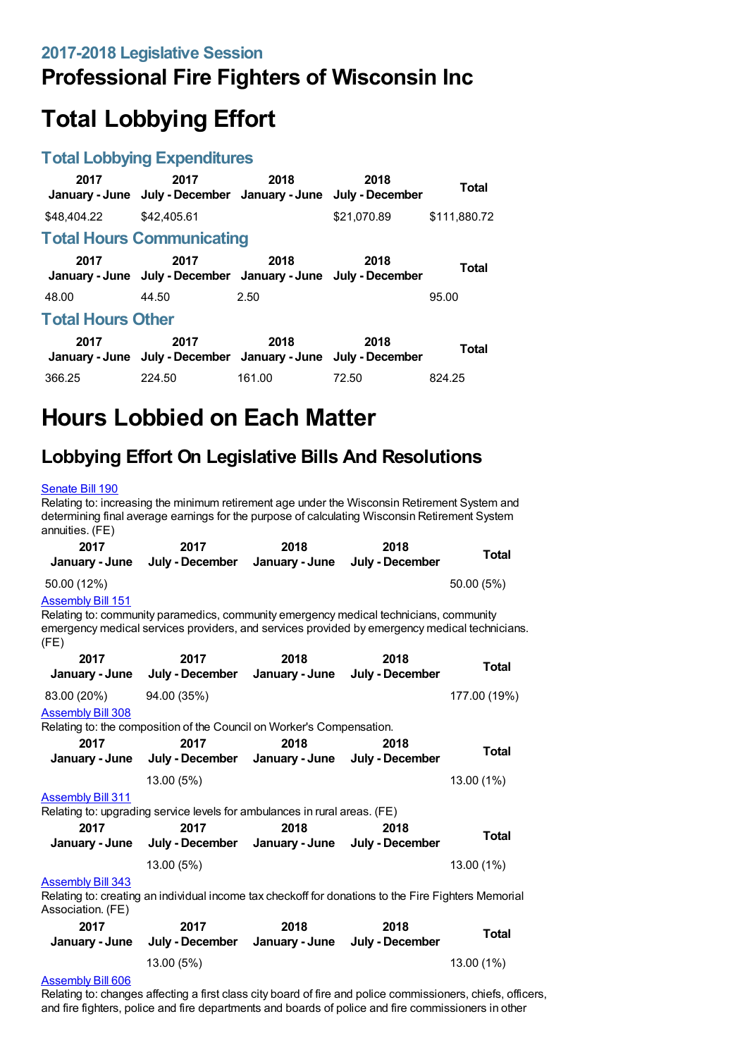## **Professional Fire Fighters of Wisconsin Inc**

# **Total Lobbying Effort**

### **Total Lobbying Expenditures**

| 2017                     | 2017<br>January - June July - December January - June July - December | 2018   | 2018        | <b>Total</b> |  |  |
|--------------------------|-----------------------------------------------------------------------|--------|-------------|--------------|--|--|
| \$48,404,22              | \$42,405.61                                                           |        | \$21.070.89 | \$111,880.72 |  |  |
|                          | <b>Total Hours Communicating</b>                                      |        |             |              |  |  |
| 2017                     | 2017<br>January - June July - December January - June July - December | 2018   | 2018        | <b>Total</b> |  |  |
| 48.00                    | 44.50                                                                 | 2.50   |             | 95.00        |  |  |
| <b>Total Hours Other</b> |                                                                       |        |             |              |  |  |
| 2017                     | 2017<br>January - June July - December January - June July - December | 2018   | 2018        | <b>Total</b> |  |  |
| 366.25                   | 224.50                                                                | 161.00 | 72.50       | 824.25       |  |  |

# **Hours Lobbied on Each Matter**

### **Lobbying Effort On Legislative Bills And Resolutions**

#### [Senate](https://lobbying.wi.gov/What/BillInformation/2017REG/Information/14221?tab=Efforts) Bill 190

Relating to: increasing the minimum retirement age under the Wisconsin Retirement System and determining final average earnings for the purpose of calculating Wisconsin Retirement System annuities. (FE)

| 2017<br>January - June           | 2017<br>July - December                                                                                                                                                                | 2018<br>January - June | 2018<br>July - December | <b>Total</b> |
|----------------------------------|----------------------------------------------------------------------------------------------------------------------------------------------------------------------------------------|------------------------|-------------------------|--------------|
| 50.00 (12%)                      |                                                                                                                                                                                        |                        |                         | 50.00 (5%)   |
| <b>Assembly Bill 151</b><br>(FE) | Relating to: community paramedics, community emergency medical technicians, community<br>emergency medical services providers, and services provided by emergency medical technicians. |                        |                         |              |
| 2017                             | 2017                                                                                                                                                                                   | 2018                   | 2018                    | <b>Total</b> |
| January - June                   | July - December                                                                                                                                                                        | January - June         | July - December         |              |
| 83.00 (20%)                      | 94.00 (35%)                                                                                                                                                                            |                        |                         | 177.00 (19%) |
| <b>Assembly Bill 308</b>         |                                                                                                                                                                                        |                        |                         |              |
|                                  | Relating to: the composition of the Council on Worker's Compensation.                                                                                                                  |                        |                         |              |
| 2017                             | 2017                                                                                                                                                                                   | 2018                   | 2018                    | <b>Total</b> |
| January - June                   | July - December January - June                                                                                                                                                         |                        | July - December         |              |
|                                  | 13.00 (5%)                                                                                                                                                                             |                        |                         | 13.00 (1%)   |
| <b>Assembly Bill 311</b>         |                                                                                                                                                                                        |                        |                         |              |
|                                  | Relating to: upgrading service levels for ambulances in rural areas. (FE)                                                                                                              |                        |                         |              |
| 2017                             | 2017                                                                                                                                                                                   | 2018                   | 2018                    | <b>Total</b> |
| January - June                   | July - December January - June                                                                                                                                                         |                        | July - December         |              |
|                                  | 13.00 (5%)                                                                                                                                                                             |                        |                         | 13.00 (1%)   |
| <b>Assembly Bill 343</b>         |                                                                                                                                                                                        |                        |                         |              |
| Association. (FE)                | Relating to: creating an individual income tax checkoff for donations to the Fire Fighters Memorial                                                                                    |                        |                         |              |
| 2017                             | 2017                                                                                                                                                                                   | 2018                   | 2018                    |              |
| January - June                   | July - December                                                                                                                                                                        | January - June         | July - December         | <b>Total</b> |
|                                  | 13.00 (5%)                                                                                                                                                                             |                        |                         | 13.00 (1%)   |
| Accombbi Dill QOQ                |                                                                                                                                                                                        |                        |                         |              |

#### [Assembly](https://lobbying.wi.gov/What/BillInformation/2017REG/Information/14959?tab=Efforts) Bill 606

Relating to: changes affecting a first class city board of fire and police commissioners, chiefs, officers, and fire fighters, police and fire departments and boards of police and fire commissioners in other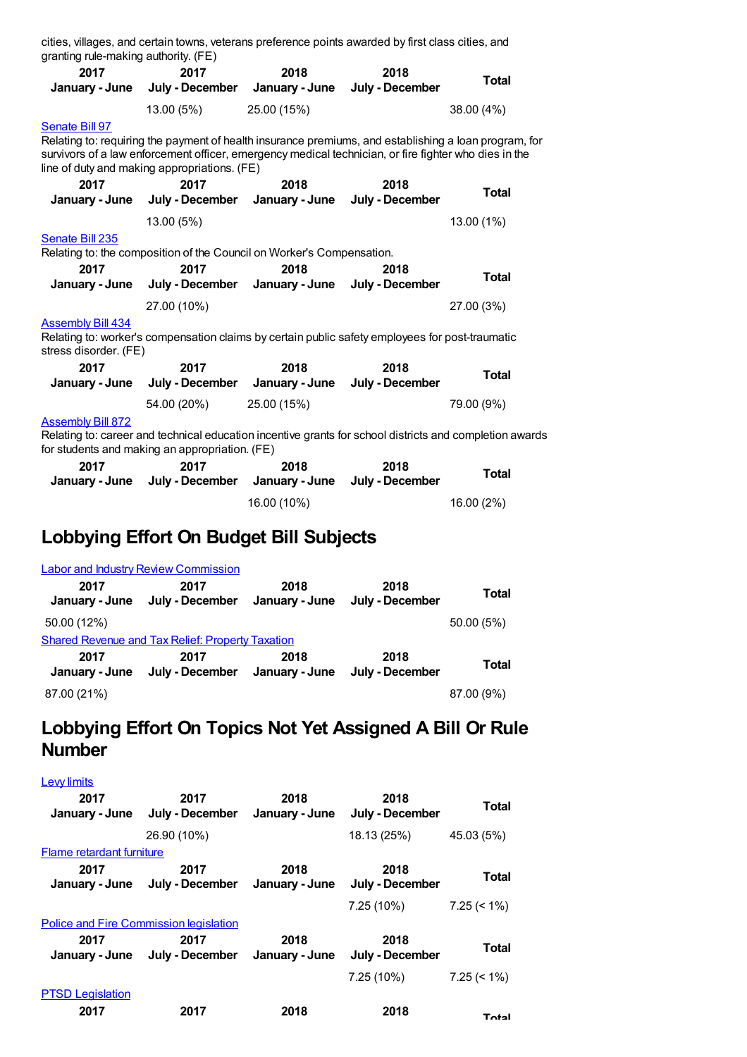| granting rule-making authority. (FE)                                                                                                                                                  |                                                                       |                        | cities, villages, and certain towns, veterans preference points awarded by first class cities, and                                                                                                             |              |  |
|---------------------------------------------------------------------------------------------------------------------------------------------------------------------------------------|-----------------------------------------------------------------------|------------------------|----------------------------------------------------------------------------------------------------------------------------------------------------------------------------------------------------------------|--------------|--|
| 2017<br>January - June                                                                                                                                                                | 2017<br>July - December                                               | 2018<br>January - June | 2018<br>July - December                                                                                                                                                                                        | <b>Total</b> |  |
|                                                                                                                                                                                       | 13.00 (5%)                                                            | 25.00 (15%)            |                                                                                                                                                                                                                | 38.00 (4%)   |  |
| Senate Bill 97                                                                                                                                                                        | line of duty and making appropriations. (FE)                          |                        | Relating to: requiring the payment of health insurance premiums, and establishing a loan program, for<br>survivors of a law enforcement officer, emergency medical technician, or fire fighter who dies in the |              |  |
| 2017<br>January - June                                                                                                                                                                | 2017<br>July - December                                               | 2018<br>January - June | 2018<br>July - December                                                                                                                                                                                        | <b>Total</b> |  |
|                                                                                                                                                                                       | 13.00 (5%)                                                            |                        |                                                                                                                                                                                                                | 13.00 (1%)   |  |
| Senate Bill 235                                                                                                                                                                       | Relating to: the composition of the Council on Worker's Compensation. |                        |                                                                                                                                                                                                                |              |  |
| 2017<br>January - June                                                                                                                                                                | 2017<br>July - December                                               | 2018<br>January - June | 2018<br>July - December                                                                                                                                                                                        | <b>Total</b> |  |
|                                                                                                                                                                                       | 27.00 (10%)                                                           |                        |                                                                                                                                                                                                                | 27.00 (3%)   |  |
| <b>Assembly Bill 434</b><br>stress disorder. (FE)                                                                                                                                     |                                                                       |                        | Relating to: worker's compensation claims by certain public safety employees for post-traumatic                                                                                                                |              |  |
| 2017<br>January - June                                                                                                                                                                | 2017<br>July - December                                               | 2018<br>January - June | 2018<br>July - December                                                                                                                                                                                        | <b>Total</b> |  |
|                                                                                                                                                                                       | 54.00 (20%)                                                           | 25.00 (15%)            |                                                                                                                                                                                                                | 79.00 (9%)   |  |
| <b>Assembly Bill 872</b><br>Relating to: career and technical education incentive grants for school districts and completion awards<br>for students and making an appropriation. (FE) |                                                                       |                        |                                                                                                                                                                                                                |              |  |
| 2017<br>January - June                                                                                                                                                                | 2017<br>July - December                                               | 2018<br>January - June | 2018<br>July - December                                                                                                                                                                                        | <b>Total</b> |  |
|                                                                                                                                                                                       |                                                                       | 16.00 (10%)            |                                                                                                                                                                                                                | 16.00 (2%)   |  |

## **Lobbying Effort On Budget Bill Subjects**

|                        | <b>Labor and Industry Review Commission</b>             |                        |                         |              |
|------------------------|---------------------------------------------------------|------------------------|-------------------------|--------------|
| 2017<br>January - June | 2017<br>July - December                                 | 2018<br>January - June | 2018<br>July - December | <b>Total</b> |
| 50.00 (12%)            |                                                         |                        |                         | 50.00(5%)    |
|                        | <b>Shared Revenue and Tax Relief: Property Taxation</b> |                        |                         |              |
| 2017<br>January - June | 2017<br>July - December January - June                  | 2018                   | 2018<br>July - December | <b>Total</b> |
| 87.00 (21%)            |                                                         |                        |                         | 87.00 (9%)   |

### **Lobbying Effort On Topics Not Yet Assigned A Bill Or Rule Number**

| <b>Lew limits</b>                      |                         |                        |                         |                |
|----------------------------------------|-------------------------|------------------------|-------------------------|----------------|
| 2017<br>January - June                 | 2017<br>July - December | 2018<br>January - June | 2018<br>July - December | Total          |
|                                        | 26.90 (10%)             |                        | 18.13 (25%)             | 45.03 (5%)     |
| Flame retardant furniture              |                         |                        |                         |                |
| 2017<br>January - June                 | 2017<br>July - December | 2018<br>January - June | 2018<br>July - December | Total          |
|                                        |                         |                        | 7.25(10%)               | $7.25 \le 1\%$ |
| Police and Fire Commission legislation |                         |                        |                         |                |
| 2017<br>January - June                 | 2017<br>July - December | 2018<br>January - June | 2018<br>July - December | Total          |
|                                        |                         |                        | $7.25(10\%)$            | $7.25 \le 1\%$ |
| <b>PTSD Legislation</b><br>2017        | 2017                    | 2018                   | 2018                    | <b>Total</b>   |